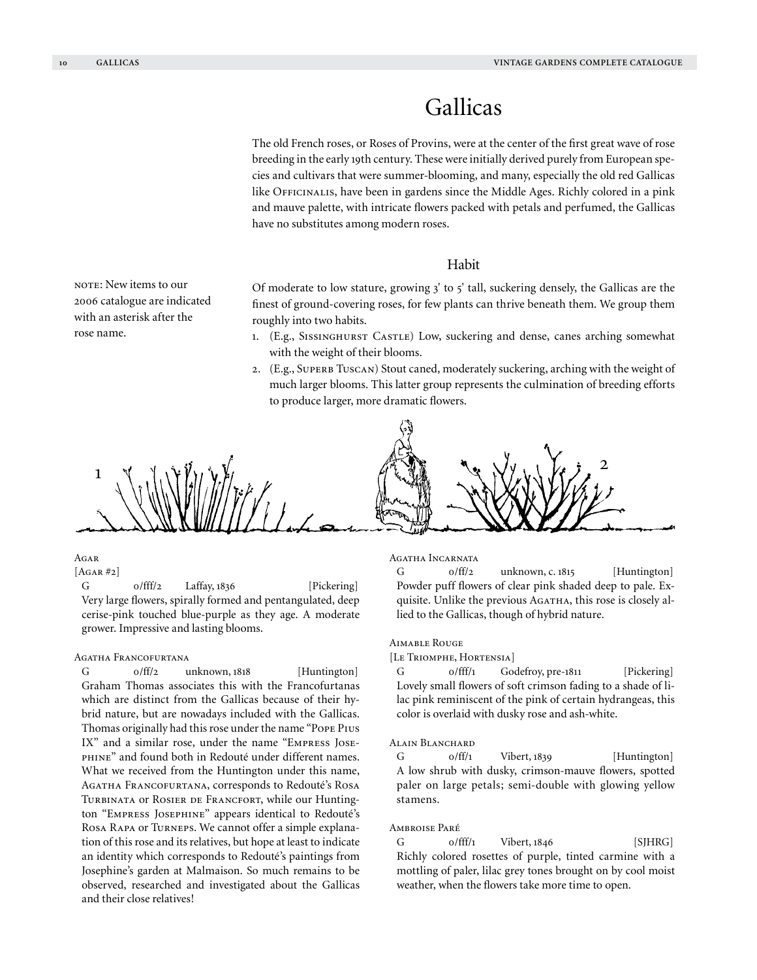# Gallicas

The old French roses, or Roses of Provins, were at the center of the first great wave of rose breeding in the early 19th century. These were initially derived purely from European species and cultivars that were summer-blooming, and many, especially the old red Gallicas like Officinalis, have been in gardens since the Middle Ages. Richly colored in a pink and mauve palette, with intricate flowers packed with petals and perfumed, the Gallicas have no substitutes among modern roses.

# Habit

Of moderate to low stature, growing  $3'$  to  $5'$  tall, suckering densely, the Gallicas are the finest of ground-covering roses, for few plants can thrive beneath them. We group them roughly into two habits.

- 1. (E.g., SISSINGHURST CASTLE) Low, suckering and dense, canes arching somewhat with the weight of their blooms.
- 2. (E.g., SUPERB TUSCAN) Stout caned, moderately suckering, arching with the weight of much larger blooms. This latter group represents the culmination of breeding efforts to produce larger, more dramatic flowers.



# **AGAR**

 $[AGAR #2]$ 

G 0/fff/2 Laffay, 1836 [Pickering] Very large flowers, spirally formed and pentangulated, deep cerise-pink touched blue-purple as they age. A moderate grower. Impressive and lasting blooms.

# Agatha Francofurtana

G  $0/f\text{f}/2$  unknown, 1818 [Huntington] Graham Thomas associates this with the Francofurtanas which are distinct from the Gallicas because of their hybrid nature, but are nowadays included with the Gallicas. Thomas originally had this rose under the name "Pope Pius IX" and a similar rose, under the name "Empress Josephine" and found both in Redouté under different names. What we received from the Huntington under this name, Agatha Francofurtana, corresponds to Redouté's Rosa TURBINATA OF ROSIER DE FRANCFORT, while our Huntington "Empress Josephine" appears identical to Redouté's Rosa Rapa or Turneps. We cannot offer a simple explanation of this rose and its relatives, but hope at least to indicate an identity which corresponds to Redouté's paintings from Josephine's garden at Malmaison. So much remains to be observed, researched and investigated about the Gallicas and their close relatives!

#### Agatha Incarnata

G  $0/f\text{f}/2$  unknown, c. 1815 [Huntington] Powder puff flowers of clear pink shaded deep to pale. Exquisite. Unlike the previous AGATHA, this rose is closely allied to the Gallicas, though of hybrid nature.

#### Aimable Rouge

#### [Le Triomphe, Hortensia]

G 0/fff/1 Godefroy, pre-1811 [Pickering] Lovely small flowers of soft crimson fading to a shade of lilac pink reminiscent of the pink of certain hydrangeas, this color is overlaid with dusky rose and ash-white.

# ALAIN BLANCHARD

 $G$   $0/ff/1$  Vibert, 1839 [Huntington] A low shrub with dusky, crimson-mauve flowers, spotted paler on large petals; semi-double with glowing yellow stamens.

#### Ambroise Paré

 $G$   $0/fff/1$  Vibert,  $1846$  [SJHRG] Richly colored rosettes of purple, tinted carmine with a mottling of paler, lilac grey tones brought on by cool moist weather, when the flowers take more time to open.

NOTE: New items to our 2006 catalogue are indicated with an asterisk after the rose name.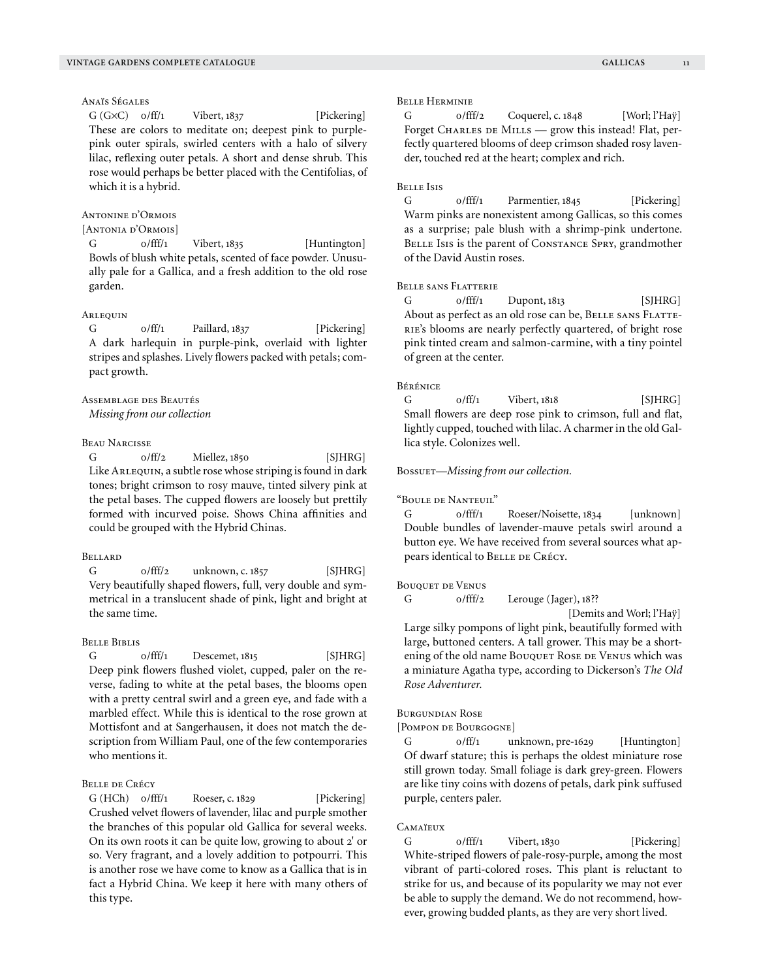# Anaïs Ségales

 $G(G \times C)$   $o/ff/1$  Vibert, 1837 [Pickering] These are colors to meditate on; deepest pink to purplepink outer spirals, swirled centers with a halo of silvery lilac, reflexing outer petals. A short and dense shrub. This rose would perhaps be better placed with the Centifolias, of which it is a hybrid.

# Antonine d'Ormois

# [Antonia d'Ormois]

G  $0/$ fff/1 Vibert, 1835 [Huntington] Bowls of blush white petals, scented of face powder. Unusually pale for a Gallica, and a fresh addition to the old rose garden.

## Arlequin

 $G$  0/ff/1 Paillard, 1837 [Pickering] A dark harlequin in purple-pink, overlaid with lighter stripes and splashes. Lively flowers packed with petals; compact growth.

# Assemblage des Beautés

*Missing from our collection*

# Beau Narcisse

G 0/ff/2 Miellez, 1850 [SJHRG] Like Arlequin, a subtle rose whose striping is found in dark tones; bright crimson to rosy mauve, tinted silvery pink at the petal bases. The cupped flowers are loosely but prettily formed with incurved poise. Shows China affinities and could be grouped with the Hybrid Chinas.

#### **BELLARD**

G 0/fff/2 unknown, c. 1857 [SJHRG] Very beautifully shaped flowers, full, very double and symmetrical in a translucent shade of pink, light and bright at the same time.

#### Belle Biblis

 $G$  o/fff/1 Descemet, 1815 [SJHRG] Deep pink flowers flushed violet, cupped, paler on the reverse, fading to white at the petal bases, the blooms open with a pretty central swirl and a green eye, and fade with a marbled effect. While this is identical to the rose grown at Mottisfont and at Sangerhausen, it does not match the description from William Paul, one of the few contemporaries who mentions it.

# Belle de Crécy

 $G (HCh)$   $0/fff/1$  Roeser, c. 1829 [Pickering] Crushed velvet flowers of lavender, lilac and purple smother the branches of this popular old Gallica for several weeks. On its own roots it can be quite low, growing to about 2' or so. Very fragrant, and a lovely addition to potpourri. This is another rose we have come to know as a Gallica that is in fact a Hybrid China. We keep it here with many others of this type.

#### Belle Herminie

G 0/fff/2 Coquerel, c. 1848 [Worl; l'Haÿ] Forget CHARLES DE MILLS — grow this instead! Flat, perfectly quartered blooms of deep crimson shaded rosy lavender, touched red at the heart; complex and rich.

#### Belle Isis

G 0/fff/1 Parmentier, 1845 [Pickering] Warm pinks are nonexistent among Gallicas, so this comes as a surprise; pale blush with a shrimp-pink undertone. BELLE Isis is the parent of CONSTANCE SPRY, grandmother of the David Austin roses.

# Belle sans Flatterie

 $G$  o/fff/1 Dupont, 1813 [SJHRG] About as perfect as an old rose can be, BELLE SANS FLATTE-RIE's blooms are nearly perfectly quartered, of bright rose pink tinted cream and salmon-carmine, with a tiny pointel of green at the center.

# Bérénice

 $G$   $0/ff/1$  Vibert,  $1818$  [SJHRG] Small flowers are deep rose pink to crimson, full and flat, lightly cupped, touched with lilac. A charmer in the old Gallica style. Colonizes well.

#### Bossuet—*Missing from our collection.*

"Boule de Nanteuil"

G  $0/$ fff/1 Roeser/Noisette, 1834 [unknown] Double bundles of lavender-mauve petals swirl around a button eye. We have received from several sources what appears identical to BELLE DE CRÉCY.

#### Bouquet de Venus

G o/fff/2 Lerouge (Jager), 18??

 [Demits and Worl; l'Haÿ] Large silky pompons of light pink, beautifully formed with large, buttoned centers. A tall grower. This may be a shortening of the old name BOUQUET ROSE DE VENUS which was a miniature Agatha type, according to Dickerson's *The Old Rose Adventurer.*

# Burgundian Rose

[Pompon de Bourgogne]

G  $0/ff/1$  unknown, pre-1629 [Huntington] Of dwarf stature; this is perhaps the oldest miniature rose still grown today. Small foliage is dark grey-green. Flowers are like tiny coins with dozens of petals, dark pink suffused purple, centers paler.

#### Camaïeux

G 0/fff/1 Vibert, 1830 [Pickering] White-striped flowers of pale-rosy-purple, among the most vibrant of parti-colored roses. This plant is reluctant to strike for us, and because of its popularity we may not ever be able to supply the demand. We do not recommend, however, growing budded plants, as they are very short lived.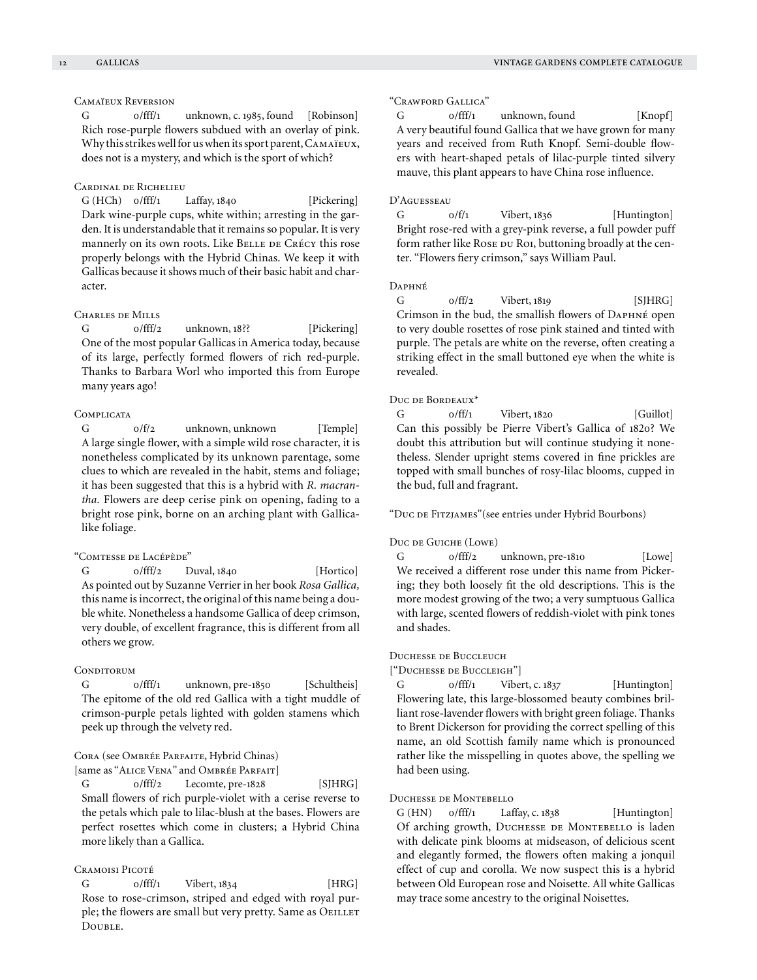# Camaïeux Reversion

G 0/fff/1 unknown, c. 1985, found [Robinson] Rich rose-purple flowers subdued with an overlay of pink. Why this strikes well for us when its sport parent, Camaïeux, does not is a mystery, and which is the sport of which?

# Cardinal de Richelieu

G (HCh) o/fff/1 Laffay, 1840 [Pickering] Dark wine-purple cups, white within; arresting in the garden. It is understandable that it remains so popular. It is very mannerly on its own roots. Like BELLE DE CRÉCY this rose properly belongs with the Hybrid Chinas. We keep it with Gallicas because it shows much of their basic habit and character.

# Charles de Mills

G o/fff/2 unknown, 18?? [Pickering] One of the most popular Gallicas in America today, because of its large, perfectly formed flowers of rich red-purple. Thanks to Barbara Worl who imported this from Europe many years ago!

#### **COMPLICATA**

G  $0/f/2$  unknown, unknown [Temple] A large single flower, with a simple wild rose character, it is nonetheless complicated by its unknown parentage, some clues to which are revealed in the habit, stems and foliage; it has been suggested that this is a hybrid with *R. macrantha.* Flowers are deep cerise pink on opening, fading to a bright rose pink, borne on an arching plant with Gallicalike foliage.

# "Comtesse de Lacépède"

 $G$   $0/fff/2$  Duval,  $1840$  [Hortico] As pointed out by Suzanne Verrier in her book *Rosa Gallica,*  this name is incorrect, the original of this name being a double white. Nonetheless a handsome Gallica of deep crimson, very double, of excellent fragrance, this is different from all others we grow.

#### CONDITORUM

G o/fff/1 unknown, pre-1850 [Schultheis] The epitome of the old red Gallica with a tight muddle of crimson-purple petals lighted with golden stamens which peek up through the velvety red.

# Cora (see Ombrée Parfaite, Hybrid Chinas)

[same as "ALICE VENA" and OMBRÉE PARFAIT]  $G$   $0/fff/2$  Lecomte, pre-1828 [SJHRG] Small flowers of rich purple-violet with a cerise reverse to the petals which pale to lilac-blush at the bases. Flowers are perfect rosettes which come in clusters; a Hybrid China more likely than a Gallica.

# Cramoisi Picoté

 $G$  0/fff/1 Vibert, 1834 [HRG] Rose to rose-crimson, striped and edged with royal purple; the flowers are small but very pretty. Same as OEILLET Double.

# "Crawford Gallica"

G  $0/fft/1$  unknown, found [Knopf] A very beautiful found Gallica that we have grown for many years and received from Ruth Knopf. Semi-double flowers with heart-shaped petals of lilac-purple tinted silvery mauve, this plant appears to have China rose influence.

#### D'Aguesseau

 $G$   $0/f/1$  Vibert, 1836 [Huntington] Bright rose-red with a grey-pink reverse, a full powder puff form rather like Rose DU Roi, buttoning broadly at the center. "Flowers fiery crimson," says William Paul.

# Daphné

 $G$   $0/ff/2$  Vibert, 1819 [SJHRG] Crimson in the bud, the smallish flowers of Daphné open to very double rosettes of rose pink stained and tinted with purple. The petals are white on the reverse, often creating a striking effect in the small buttoned eye when the white is revealed.

# Duc de Bordeaux\*

 $G$   $0/ff/1$  Vibert, 1820 [Guillot] Can this possibly be Pierre Vibert's Gallica of 1820? We doubt this attribution but will continue studying it nonetheless. Slender upright stems covered in fine prickles are topped with small bunches of rosy-lilac blooms, cupped in the bud, full and fragrant.

"Duc de Fitzjames"(see entries under Hybrid Bourbons)

#### Duc de Guiche (Lowe)

G o/fff/2 unknown, pre-1810 [Lowe] We received a different rose under this name from Pickering; they both loosely fit the old descriptions. This is the more modest growing of the two; a very sumptuous Gallica with large, scented flowers of reddish-violet with pink tones and shades.

#### Duchesse de Buccleuch

["Duchesse de Buccleigh"]

G 0/fff/1 Vibert, c. 1837 [Huntington] Flowering late, this large-blossomed beauty combines brilliant rose-lavender flowers with bright green foliage. Thanks to Brent Dickerson for providing the correct spelling of this name, an old Scottish family name which is pronounced rather like the misspelling in quotes above, the spelling we had been using.

# Duchesse de Montebello

 $G(HN)$  o/fff/1 Laffay, c. 1838 [Huntington] Of arching growth, DUCHESSE DE MONTEBELLO is laden with delicate pink blooms at midseason, of delicious scent and elegantly formed, the flowers often making a jonquil effect of cup and corolla. We now suspect this is a hybrid between Old European rose and Noisette. All white Gallicas may trace some ancestry to the original Noisettes.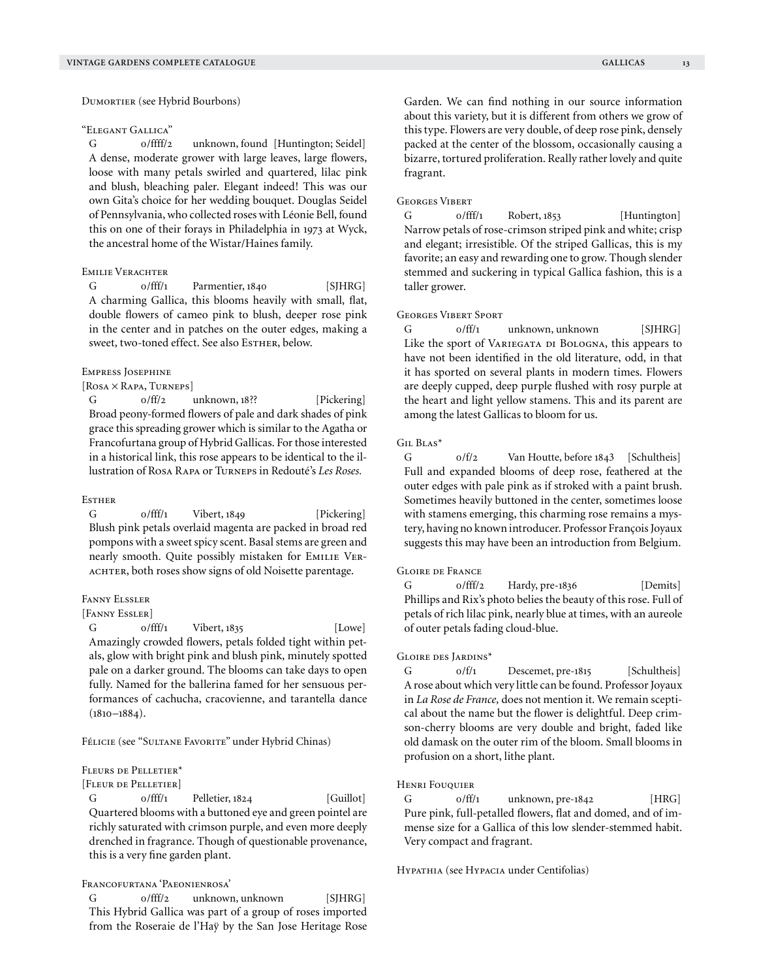Dumortier (see Hybrid Bourbons)

#### "Elegant Gallica"

G 0/ffff/2 unknown, found [Huntington; Seidel] A dense, moderate grower with large leaves, large flowers, loose with many petals swirled and quartered, lilac pink and blush, bleaching paler. Elegant indeed! This was our own Gita's choice for her wedding bouquet. Douglas Seidel of Pennsylvania, who collected roses with Léonie Bell, found this on one of their forays in Philadelphia in 1973 at Wyck, the ancestral home of the Wistar/Haines family.

# Emilie Verachter

G 0/fff/1 Parmentier, 1840 [SJHRG] A charming Gallica, this blooms heavily with small, flat, double flowers of cameo pink to blush, deeper rose pink in the center and in patches on the outer edges, making a sweet, two-toned effect. See also EsTHER, below.

#### Empress Josephine

[Rosa × Rapa, Turneps]

G  $0/f\text{f}/2$  unknown, 18?? [Pickering] Broad peony-formed flowers of pale and dark shades of pink grace this spreading grower which is similar to the Agatha or Francofurtana group of Hybrid Gallicas. For those interested in a historical link, this rose appears to be identical to the illustration of Rosa Rapa or Turneps in Redouté's *Les Roses.*

#### **Esther**

G 0/fff/1 Vibert, 1849 [Pickering] Blush pink petals overlaid magenta are packed in broad red pompons with a sweet spicy scent. Basal stems are green and nearly smooth. Quite possibly mistaken for EMILIE VER-ACHTER, both roses show signs of old Noisette parentage.

#### Fanny Elssler

#### [FANNY ESSLER]

 $G$   $0/fff/1$  Vibert, 1835 [Lowe] Amazingly crowded flowers, petals folded tight within petals, glow with bright pink and blush pink, minutely spotted pale on a darker ground. The blooms can take days to open fully. Named for the ballerina famed for her sensuous performances of cachucha, cracovienne, and tarantella dance  $(1810 - 1884)$ .

Félicie (see "Sultane Favorite" under Hybrid Chinas)

#### Fleurs de Pelletier\*

[Fleur de Pelletier]

 $G$   $0/fff/1$  Pelletier,  $1824$  [Guillot] Quartered blooms with a buttoned eye and green pointel are richly saturated with crimson purple, and even more deeply drenched in fragrance. Though of questionable provenance, this is a very fine garden plant.

# Francofurtana 'Paeonienrosa'

G o/fff/2 unknown, unknown [SJHRG] This Hybrid Gallica was part of a group of roses imported from the Roseraie de l'Haÿ by the San Jose Heritage Rose Garden. We can find nothing in our source information about this variety, but it is different from others we grow of this type. Flowers are very double, of deep rose pink, densely packed at the center of the blossom, occasionally causing a bizarre, tortured proliferation. Really rather lovely and quite fragrant.

#### Georges Vibert

 $G$  o/fff/1 Robert, 1853 [Huntington] Narrow petals of rose-crimson striped pink and white; crisp and elegant; irresistible. Of the striped Gallicas, this is my favorite; an easy and rewarding one to grow. Though slender stemmed and suckering in typical Gallica fashion, this is a taller grower.

#### Georges Vibert Sport

G  $0/ff/1$  unknown, unknown [SJHRG] Like the sport of VARIEGATA DI BOLOGNA, this appears to have not been identified in the old literature, odd, in that it has sported on several plants in modern times. Flowers are deeply cupped, deep purple flushed with rosy purple at the heart and light yellow stamens. This and its parent are among the latest Gallicas to bloom for us.

#### Gil Blas\*

G  $0/f/2$  Van Houtte, before 1843 [Schultheis] Full and expanded blooms of deep rose, feathered at the outer edges with pale pink as if stroked with a paint brush. Sometimes heavily buttoned in the center, sometimes loose with stamens emerging, this charming rose remains a mystery, having no known introducer. Professor François Joyaux suggests this may have been an introduction from Belgium.

# Gloire de France

G 0/fff/2 Hardy, pre-1836 [Demits] Phillips and Rix's photo belies the beauty of this rose. Full of petals of rich lilac pink, nearly blue at times, with an aureole of outer petals fading cloud-blue.

#### Gloire des Jardins\*

G  $0/f/1$  Descemet, pre-1815 [Schultheis] A rose about which very little can be found. Professor Joyaux in *La Rose de France,* does not mention it. We remain sceptical about the name but the flower is delightful. Deep crimson-cherry blooms are very double and bright, faded like old damask on the outer rim of the bloom. Small blooms in profusion on a short, lithe plant.

# Henri Fouquier

G o/ff/1 unknown, pre-1842 [HRG] Pure pink, full-petalled flowers, flat and domed, and of immense size for a Gallica of this low slender-stemmed habit. Very compact and fragrant.

HYPATHIA (see HYPACIA under Centifolias)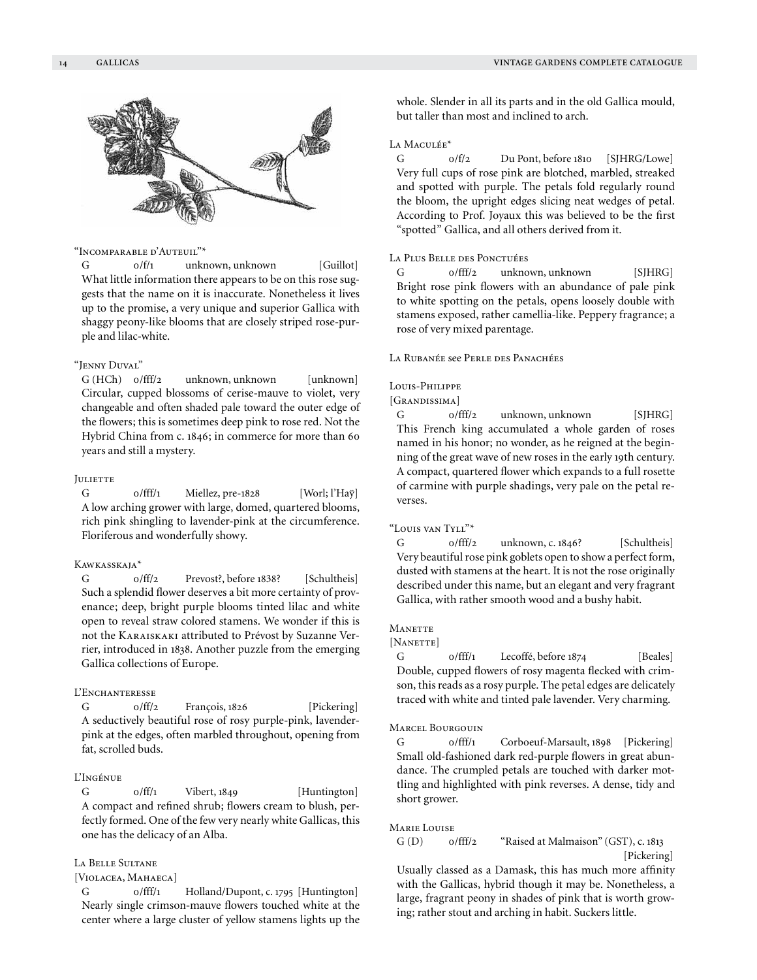

# "Incomparable d'Auteuil"\*

G  $0/f/1$  unknown, unknown [Guillot] What little information there appears to be on this rose suggests that the name on it is inaccurate. Nonetheless it lives up to the promise, a very unique and superior Gallica with shaggy peony-like blooms that are closely striped rose-purple and lilac-white.

#### "Jenny Duval"

G (HCh) o/fff/2 unknown, unknown [unknown] Circular, cupped blossoms of cerise-mauve to violet, very changeable and often shaded pale toward the outer edge of the flowers; this is sometimes deep pink to rose red. Not the Hybrid China from c. 1846; in commerce for more than 60 years and still a mystery.

#### **JULIETTE**

G  $0/fff/1$  Miellez, pre-1828 [Worl; l'Haÿ] A low arching grower with large, domed, quartered blooms, rich pink shingling to lavender-pink at the circumference. Floriferous and wonderfully showy.

#### Kawkasskaja\*

G 0/ff/2 Prevost?, before 1838? [Schultheis] Such a splendid flower deserves a bit more certainty of provenance; deep, bright purple blooms tinted lilac and white open to reveal straw colored stamens. We wonder if this is not the Karaiskaki attributed to Prévost by Suzanne Verrier, introduced in 1838. Another puzzle from the emerging Gallica collections of Europe.

# L'ENCHANTERESSE

G  $0/ff/2$  François, 1826 [Pickering] A seductively beautiful rose of rosy purple-pink, lavenderpink at the edges, often marbled throughout, opening from fat, scrolled buds.

# L'Ingénue

 $G$   $0/ff/1$  Vibert, 1849 [Huntington] A compact and refined shrub; flowers cream to blush, perfectly formed. One of the few very nearly white Gallicas, this one has the delicacy of an Alba.

# La Belle Sultane

# [VIOLACEA, MAHAECA]

G  $0/$ fff/1 Holland/Dupont, c. 1795 [Huntington] Nearly single crimson-mauve flowers touched white at the center where a large cluster of yellow stamens lights up the whole. Slender in all its parts and in the old Gallica mould, but taller than most and inclined to arch.

# LA MACULÉE<sup>\*</sup>

G  $0/f/2$  Du Pont, before 1810 [SJHRG/Lowe] Very full cups of rose pink are blotched, marbled, streaked and spotted with purple. The petals fold regularly round the bloom, the upright edges slicing neat wedges of petal. According to Prof. Joyaux this was believed to be the first "spotted" Gallica, and all others derived from it.

# La Plus Belle des Ponctuées

G o/fff/2 unknown, unknown [SJHRG] Bright rose pink flowers with an abundance of pale pink to white spotting on the petals, opens loosely double with stamens exposed, rather camellia-like. Peppery fragrance; a rose of very mixed parentage.

La Rubanée see Perle des Panachées

# Louis-Philippe

[GRANDISSIMA]

G 0/fff/2 unknown, unknown [SJHRG] This French king accumulated a whole garden of roses named in his honor; no wonder, as he reigned at the beginning of the great wave of new roses in the early 19th century. A compact, quartered flower which expands to a full rosette of carmine with purple shadings, very pale on the petal reverses.

 $\lq\text{-}$ Louis van Tyll"\*

G 0/fff/2 unknown, c. 1846? [Schultheis] Very beautiful rose pink goblets open to show a perfect form, dusted with stamens at the heart. It is not the rose originally described under this name, but an elegant and very fragrant Gallica, with rather smooth wood and a bushy habit.

#### **MANETTE**

#### [NANETTE]

G  $0/fff/1$  Lecoffé, before  $1874$  [Beales] Double, cupped flowers of rosy magenta flecked with crimson, this reads as a rosy purple. The petal edges are delicately traced with white and tinted pale lavender. Very charming.

#### Marcel Bourgouin

G 0/fff/1 Corboeuf-Marsault, 1898 [Pickering] Small old-fashioned dark red-purple flowers in great abundance. The crumpled petals are touched with darker mottling and highlighted with pink reverses. A dense, tidy and short grower.

#### Marie Louise

# G (D) 0/fff/2 "Raised at Malmaison" (GST), c. 1813

[Pickering] Usually classed as a Damask, this has much more affinity

with the Gallicas, hybrid though it may be. Nonetheless, a large, fragrant peony in shades of pink that is worth growing; rather stout and arching in habit. Suckers little.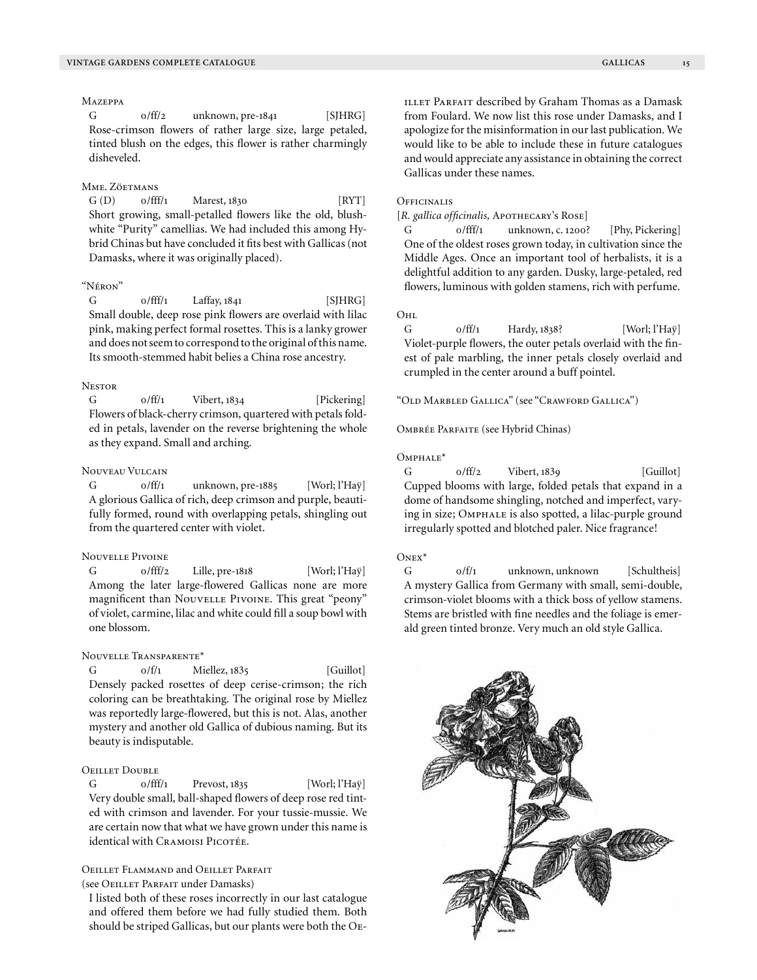$G$  o/ff/2 unknown, pre-1841 [SJHRG] Rose-crimson flowers of rather large size, large petaled, tinted blush on the edges, this flower is rather charmingly disheveled.

# Mme. Zöetmans

 $G(D)$   $0/fff/1$  Marest, 1830 [RYT] Short growing, small-petalled flowers like the old, blushwhite "Purity" camellias. We had included this among Hybrid Chinas but have concluded it fits best with Gallicas (not Damasks, where it was originally placed).

# "Néron"

 $G$   $0/fff/1$  Laffay,  $1841$  [SJHRG] Small double, deep rose pink flowers are overlaid with lilac pink, making perfect formal rosettes. This is a lanky grower and does not seem to correspond to the original of this name. Its smooth-stemmed habit belies a China rose ancestry.

# **NESTOR**

G  $0/ff/1$  Vibert, 1834 [Pickering] Flowers of black-cherry crimson, quartered with petals folded in petals, lavender on the reverse brightening the whole as they expand. Small and arching.

# Nouveau Vulcain

G  $0/ff/1$  unknown, pre-1885 [Worl; l'Haÿ] A glorious Gallica of rich, deep crimson and purple, beautifully formed, round with overlapping petals, shingling out from the quartered center with violet.

# Nouvelle Pivoine

G 0/fff/2 Lille, pre-1818 [Worl; l'Haÿ] Among the later large-flowered Gallicas none are more magnificent than Nouvelle Pivoine. This great "peony" of violet, carmine, lilac and white could fill a soup bowl with one blossom.

#### Nouvelle Transparente\*

 $G = 0/f/1$  Miellez,  $1835$  [Guillot] Densely packed rosettes of deep cerise-crimson; the rich coloring can be breathtaking. The original rose by Miellez was reportedly large-flowered, but this is not. Alas, another mystery and another old Gallica of dubious naming. But its beauty is indisputable.

# Oeillet Double

G  $0/fff/1$  Prevost, 1835 [Worl; l'Haÿ] Very double small, ball-shaped flowers of deep rose red tinted with crimson and lavender. For your tussie-mussie. We are certain now that what we have grown under this name is identical with CRAMOISI PICOTÉE.

# Oeillet Flammand and Oeillet Parfait

(see Oeillet Parfait under Damasks)

I listed both of these roses incorrectly in our last catalogue and offered them before we had fully studied them. Both should be striped Gallicas, but our plants were both the Oe-

#### **OFFICINALIS**

[R. gallica officinalis, APOTHECARY's ROSE]

G 0/fff/1 unknown, c. 1200? [Phy, Pickering] One of the oldest roses grown today, in cultivation since the Middle Ages. Once an important tool of herbalists, it is a delightful addition to any garden. Dusky, large-petaled, red flowers, luminous with golden stamens, rich with perfume.

O<sub>HL</sub>

G  $0/ff/1$  Hardy,  $1838$ ? [Worl; l'Haÿ] Violet-purple flowers, the outer petals overlaid with the finest of pale marbling, the inner petals closely overlaid and crumpled in the center around a buff pointel.

"Old Marbled Gallica" (see "Crawford Gallica")

Ombrée Parfaite (see Hybrid Chinas)

# Omphale\*

 $G$   $0/ff/2$  Vibert, 1839 [Guillot] Cupped blooms with large, folded petals that expand in a dome of handsome shingling, notched and imperfect, varying in size; Omphale is also spotted, a lilac-purple ground irregularly spotted and blotched paler. Nice fragrance!

# $O<sub>NEX</sub>$

G  $0/f/1$  unknown, unknown [Schultheis] A mystery Gallica from Germany with small, semi-double, crimson-violet blooms with a thick boss of yellow stamens. Stems are bristled with fine needles and the foliage is emerald green tinted bronze. Very much an old style Gallica.

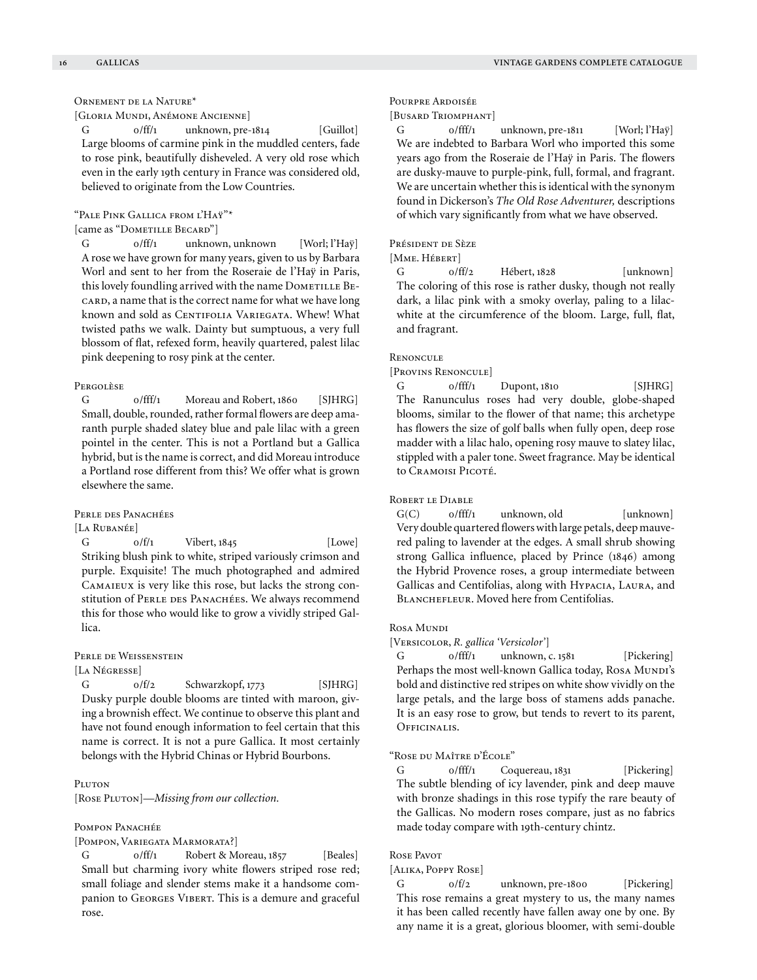# Ornement de la Nature\*

[Gloria Mundi, Anémone Ancienne]

G o/ff/1 unknown, pre-1814 [Guillot] Large blooms of carmine pink in the muddled centers, fade to rose pink, beautifully disheveled. A very old rose which even in the early 19th century in France was considered old, believed to originate from the Low Countries.

"Pale Pink Gallica from l'Haÿ"\*

[came as "DOMETILLE BECARD"]

G  $0/ff/1$  unknown, unknown [Worl; l'Haÿ] A rose we have grown for many years, given to us by Barbara Worl and sent to her from the Roseraie de l'Haÿ in Paris, this lovely foundling arrived with the name DOMETILLE BE-CARD, a name that is the correct name for what we have long known and sold as CENTIFOLIA VARIEGATA. Whew! What twisted paths we walk. Dainty but sumptuous, a very full blossom of flat, refexed form, heavily quartered, palest lilac pink deepening to rosy pink at the center.

#### Pergolèse

G 0/fff/1 Moreau and Robert, 1860 [SIHRG] Small, double, rounded, rather formal flowers are deep amaranth purple shaded slatey blue and pale lilac with a green pointel in the center. This is not a Portland but a Gallica hybrid, but is the name is correct, and did Moreau introduce a Portland rose different from this? We offer what is grown elsewhere the same.

Perle des Panachées

[La Rubanée]  $G$   $0/f/1$  Vibert,  $1845$  [Lowe] Striking blush pink to white, striped variously crimson and purple. Exquisite! The much photographed and admired Camaieux is very like this rose, but lacks the strong constitution of PERLE DES PANACHÉES. We always recommend this for those who would like to grow a vividly striped Gallica.

#### Perle de Weissenstein

[La Négresse]

G  $0/f/2$  Schwarzkopf, 1773 [SJHRG] Dusky purple double blooms are tinted with maroon, giving a brownish effect. We continue to observe this plant and have not found enough information to feel certain that this name is correct. It is not a pure Gallica. It most certainly belongs with the Hybrid Chinas or Hybrid Bourbons.

#### PLUTON

[Rose PLUTON]-Missing from our collection.

#### Pompon Panachée

[POMPON, VARIEGATA MARMORATA?]

G 0/ff/1 Robert & Moreau, 1857 [Beales] Small but charming ivory white flowers striped rose red; small foliage and slender stems make it a handsome companion to Georges Vibert. This is a demure and graceful rose.

Pourpre Ardoisée

#### [Busard Triomphant]

G  $O/fff/1$  unknown, pre-1811 [Worl; l'Haÿ] We are indebted to Barbara Worl who imported this some years ago from the Roseraie de l'Haÿ in Paris. The flowers are dusky-mauve to purple-pink, full, formal, and fragrant. We are uncertain whether this is identical with the synonym found in Dickerson's *The Old Rose Adventurer,* descriptions of which vary significantly from what we have observed.

# Président de Sèze

#### [MME. HÉBERT]

G  $0/f\text{f}/2$  Hébert, 1828 [unknown] The coloring of this rose is rather dusky, though not really dark, a lilac pink with a smoky overlay, paling to a lilacwhite at the circumference of the bloom. Large, full, flat, and fragrant.

# **RENONCULE**

[Provins Renoncule]

 $G$  o/fff/1 Dupont, 1810 [SJHRG] The Ranunculus roses had very double, globe-shaped blooms, similar to the flower of that name; this archetype has flowers the size of golf balls when fully open, deep rose madder with a lilac halo, opening rosy mauve to slatey lilac, stippled with a paler tone. Sweet fragrance. May be identical to Cramoisi Picoté.

#### ROBERT LE DIABLE

 $G(C)$  o/fff/1 unknown, old [unknown] Very double quartered flowers with large petals, deep mauvered paling to lavender at the edges. A small shrub showing strong Gallica influence, placed by Prince (1846) among the Hybrid Provence roses, a group intermediate between Gallicas and Centifolias, along with Hypacia, Laura, and BLANCHEFLEUR. Moved here from Centifolias.

#### Rosa Mundi

[Versicolor, *R. gallica 'Versicolor'*]

G  $0/fff/1$  unknown, c. 1581 [Pickering] Perhaps the most well-known Gallica today, Rosa Munpi's bold and distinctive red stripes on white show vividly on the large petals, and the large boss of stamens adds panache. It is an easy rose to grow, but tends to revert to its parent, OFFICINALIS.

#### "Rose du Maître d'École"

G o/fff/1 Coquereau, 1831 [Pickering] The subtle blending of icy lavender, pink and deep mauve with bronze shadings in this rose typify the rare beauty of the Gallicas. No modern roses compare, just as no fabrics made today compare with 19th-century chintz.

# Rose Pavot

# [Alika, Poppy Rose]

G  $0/f/2$  unknown, pre-1800 [Pickering] This rose remains a great mystery to us, the many names it has been called recently have fallen away one by one. By any name it is a great, glorious bloomer, with semi-double